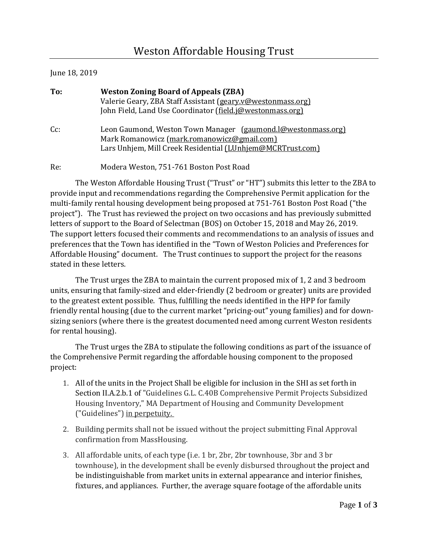## June 18, 2019

| To: | <b>Weston Zoning Board of Appeals (ZBA)</b><br>Valerie Geary, ZBA Staff Assistant (geary.v@westonmass.org)<br>John Field, Land Use Coordinator (field.j@westonmass.org)   |
|-----|---------------------------------------------------------------------------------------------------------------------------------------------------------------------------|
| Cc: | Leon Gaumond, Weston Town Manager (gaumond.l@westonmass.org)<br>Mark Romanowicz (mark.romanowicz@gmail.com)<br>Lars Unhjem, Mill Creek Residential (LUnhjem@MCRTrust.com) |

Re: Modera Weston, 751-761 Boston Post Road

The Weston Affordable Housing Trust ("Trust" or "HT") submits this letter to the ZBA to provide input and recommendations regarding the Comprehensive Permit application for the multi-family rental housing development being proposed at 751-761 Boston Post Road ("the project"). The Trust has reviewed the project on two occasions and has previously submitted letters of support to the Board of Selectman (BOS) on October 15, 2018 and May 26, 2019. The support letters focused their comments and recommendations to an analysis of issues and preferences that the Town has identified in the "Town of Weston Policies and Preferences for Affordable Housing" document. The Trust continues to support the project for the reasons stated in these letters.

The Trust urges the ZBA to maintain the current proposed mix of 1, 2 and 3 bedroom units, ensuring that family-sized and elder-friendly (2 bedroom or greater) units are provided to the greatest extent possible. Thus, fulfilling the needs identified in the HPP for family friendly rental housing (due to the current market "pricing-out" young families) and for downsizing seniors (where there is the greatest documented need among current Weston residents for rental housing).

The Trust urges the ZBA to stipulate the following conditions as part of the issuance of the Comprehensive Permit regarding the affordable housing component to the proposed project:

- 1. All of the units in the Project Shall be eligible for inclusion in the SHI as set forth in Section II.A.2.b.1 of "Guidelines G.L. C.40B Comprehensive Permit Projects Subsidized Housing Inventory," MA Department of Housing and Community Development ("Guidelines") in perpetuity.
- 2. Building permits shall not be issued without the project submitting Final Approval confirmation from MassHousing.
- 3. All affordable units, of each type (i.e. 1 br, 2br, 2br townhouse, 3br and 3 br townhouse), in the development shall be evenly disbursed throughout the project and be indistinguishable from market units in external appearance and interior finishes, fixtures, and appliances. Further, the average square footage of the affordable units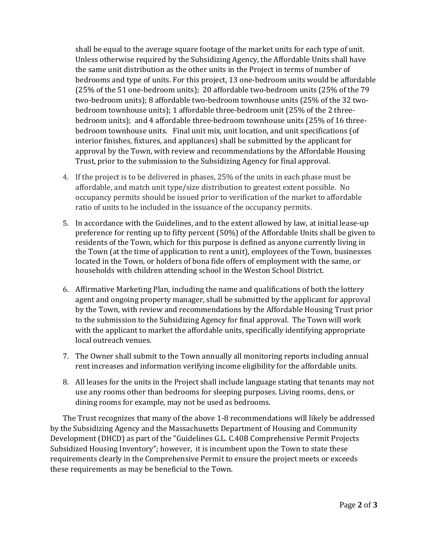shall be equal to the average square footage of the market units for each type of unit. Unless otherwise required by the Subsidizing Agency, the Affordable Units shall have the same unit distribution as the other units in the Project in terms of number of bedrooms and type of units. For this project, 13 one-bedroom units would be affordable (25% of the 51 one-bedroom units); 20 affordable two-bedroom units (25% of the 79 two-bedroom units); 8 affordable two-bedroom townhouse units (25% of the 32 twobedroom townhouse units); 1 affordable three-bedroom unit (25% of the 2 threebedroom units); and 4 affordable three-bedroom townhouse units (25% of 16 threebedroom townhouse units. Final unit mix, unit location, and unit specifications (of interior finishes, fixtures, and appliances) shall be submitted by the applicant for approval by the Town, with review and recommendations by the Affordable Housing Trust, prior to the submission to the Subsidizing Agency for final approval.

- 4. If the project is to be delivered in phases, 25% of the units in each phase must be affordable, and match unit type/size distribution to greatest extent possible. No occupancy permits should be issued prior to verification of the market to affordable ratio of units to be included in the issuance of the occupancy permits.
- 5. In accordance with the Guidelines, and to the extent allowed by law, at initial lease-up preference for renting up to fifty percent (50%) of the Affordable Units shall be given to residents of the Town, which for this purpose is defined as anyone currently living in the Town (at the time of application to rent a unit), employees of the Town, businesses located in the Town, or holders of bona fide offers of employment with the same, or households with children attending school in the Weston School District.
- 6. Affirmative Marketing Plan, including the name and qualifications of both the lottery agent and ongoing property manager, shall be submitted by the applicant for approval by the Town, with review and recommendations by the Affordable Housing Trust prior to the submission to the Subsidizing Agency for final approval. The Town will work with the applicant to market the affordable units, specifically identifying appropriate local outreach venues.
- 7. The Owner shall submit to the Town annually all monitoring reports including annual rent increases and information verifying income eligibility for the affordable units.
- 8. All leases for the units in the Project shall include language stating that tenants may not use any rooms other than bedrooms for sleeping purposes. Living rooms, dens, or dining rooms for example, may not be used as bedrooms.

The Trust recognizes that many of the above 1-8 recommendations will likely be addressed by the Subsidizing Agency and the Massachusetts Department of Housing and Community Development (DHCD) as part of the "Guidelines G.L. C.40B Comprehensive Permit Projects Subsidized Housing Inventory"; however, it is incumbent upon the Town to state these requirements clearly in the Comprehensive Permit to ensure the project meets or exceeds these requirements as may be beneficial to the Town.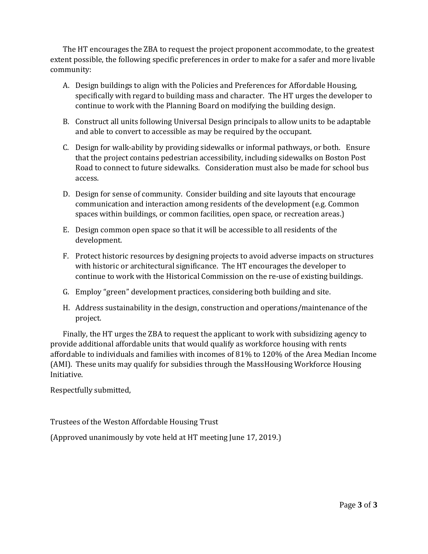The HT encourages the ZBA to request the project proponent accommodate, to the greatest extent possible, the following specific preferences in order to make for a safer and more livable community:

- A. Design buildings to align with the Policies and Preferences for Affordable Housing, specifically with regard to building mass and character. The HT urges the developer to continue to work with the Planning Board on modifying the building design.
- B. Construct all units following Universal Design principals to allow units to be adaptable and able to convert to accessible as may be required by the occupant.
- C. Design for walk-ability by providing sidewalks or informal pathways, or both. Ensure that the project contains pedestrian accessibility, including sidewalks on Boston Post Road to connect to future sidewalks. Consideration must also be made for school bus access.
- D. Design for sense of community. Consider building and site layouts that encourage communication and interaction among residents of the development (e.g. Common spaces within buildings, or common facilities, open space, or recreation areas.)
- E. Design common open space so that it will be accessible to all residents of the development.
- F. Protect historic resources by designing projects to avoid adverse impacts on structures with historic or architectural significance. The HT encourages the developer to continue to work with the Historical Commission on the re-use of existing buildings.
- G. Employ "green" development practices, considering both building and site.
- H. Address sustainability in the design, construction and operations/maintenance of the project.

Finally, the HT urges the ZBA to request the applicant to work with subsidizing agency to provide additional affordable units that would qualify as workforce housing with rents affordable to individuals and families with incomes of 81% to 120% of the Area Median Income (AMI). These units may qualify for subsidies through the MassHousing Workforce Housing Initiative.

Respectfully submitted,

Trustees of the Weston Affordable Housing Trust

(Approved unanimously by vote held at HT meeting June 17, 2019.)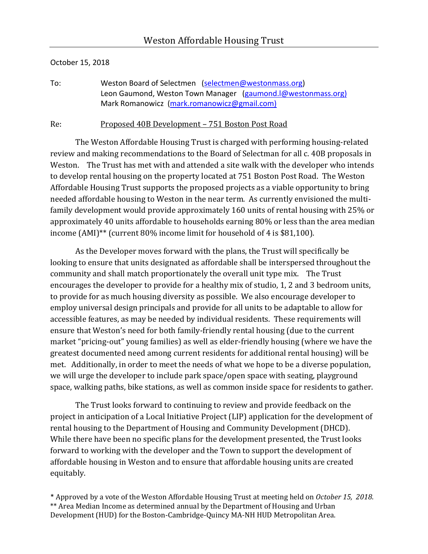## October 15, 2018

To: Weston Board of Selectmen [\(selectmen@westonmass.org\)](mailto:selectmen@westonmass.org) Leon Gaumond, Weston Town Manager (gaumond.l@westonmass.org) Mark Romanowicz [\(mark.romanowicz@gmail.com\)](mailto:mark.romanowicz@gmail.com)

Re: Proposed 40B Development – 751 Boston Post Road

The Weston Affordable Housing Trust is charged with performing housing-related review and making recommendations to the Board of Selectman for all c. 40B proposals in Weston. The Trust has met with and attended a site walk with the developer who intends to develop rental housing on the property located at 751 Boston Post Road. The Weston Affordable Housing Trust supports the proposed projects as a viable opportunity to bring needed affordable housing to Weston in the near term. As currently envisioned the multifamily development would provide approximately 160 units of rental housing with 25% or approximately 40 units affordable to households earning 80% or less than the area median income (AMI)\*\* (current 80% income limit for household of 4 is \$81,100).

As the Developer moves forward with the plans, the Trust will specifically be looking to ensure that units designated as affordable shall be interspersed throughout the community and shall match proportionately the overall unit type mix. The Trust encourages the developer to provide for a healthy mix of studio, 1, 2 and 3 bedroom units, to provide for as much housing diversity as possible. We also encourage developer to employ universal design principals and provide for all units to be adaptable to allow for accessible features, as may be needed by individual residents. These requirements will ensure that Weston's need for both family-friendly rental housing (due to the current market "pricing-out" young families) as well as elder-friendly housing (where we have the greatest documented need among current residents for additional rental housing) will be met. Additionally, in order to meet the needs of what we hope to be a diverse population, we will urge the developer to include park space/open space with seating, playground space, walking paths, bike stations, as well as common inside space for residents to gather.

The Trust looks forward to continuing to review and provide feedback on the project in anticipation of a Local Initiative Project (LIP) application for the development of rental housing to the Department of Housing and Community Development (DHCD). While there have been no specific plans for the development presented, the Trust looks forward to working with the developer and the Town to support the development of affordable housing in Weston and to ensure that affordable housing units are created equitably.

\* Approved by a vote of the Weston Affordable Housing Trust at meeting held on *October 15, 2018*. \*\* Area Median Income as determined annual by the Department of Housing and Urban Development (HUD) for the Boston-Cambridge-Quincy MA-NH HUD Metropolitan Area.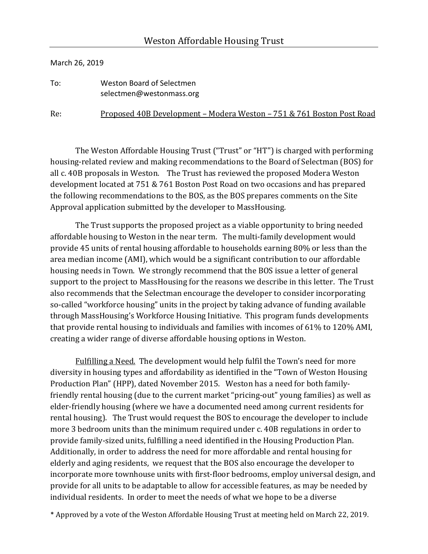## March 26, 2019

To: Weston Board of Selectmen selectmen@westonmass.org

Re: Proposed 40B Development – Modera Weston – 751 & 761 Boston Post Road

The Weston Affordable Housing Trust ("Trust" or "HT") is charged with performing housing-related review and making recommendations to the Board of Selectman (BOS) for all c. 40B proposals in Weston. The Trust has reviewed the proposed Modera Weston development located at 751 & 761 Boston Post Road on two occasions and has prepared the following recommendations to the BOS, as the BOS prepares comments on the Site Approval application submitted by the developer to MassHousing.

The Trust supports the proposed project as a viable opportunity to bring needed affordable housing to Weston in the near term. The multi-family development would provide 45 units of rental housing affordable to households earning 80% or less than the area median income (AMI), which would be a significant contribution to our affordable housing needs in Town. We strongly recommend that the BOS issue a letter of general support to the project to MassHousing for the reasons we describe in this letter. The Trust also recommends that the Selectman encourage the developer to consider incorporating so-called "workforce housing" units in the project by taking advance of funding available through MassHousing's Workforce Housing Initiative. This program funds developments that provide rental housing to individuals and families with incomes of  $61\%$  to  $120\%$  AMI, creating a wider range of diverse affordable housing options in Weston.

Fulfilling a Need. The development would help fulfil the Town's need for more diversity in housing types and affordability as identified in the "Town of Weston Housing Production Plan" (HPP), dated November 2015. Weston has a need for both familyfriendly rental housing (due to the current market "pricing-out" young families) as well as elder-friendly housing (where we have a documented need among current residents for rental housing). The Trust would request the BOS to encourage the developer to include more 3 bedroom units than the minimum required under c. 40B regulations in order to provide family-sized units, fulfilling a need identified in the Housing Production Plan. Additionally, in order to address the need for more affordable and rental housing for elderly and aging residents, we request that the BOS also encourage the developer to incorporate more townhouse units with first-floor bedrooms, employ universal design, and provide for all units to be adaptable to allow for accessible features, as may be needed by individual residents. In order to meet the needs of what we hope to be a diverse

\* Approved by a vote of the Weston Affordable Housing Trust at meeting held on March 22, 2019.